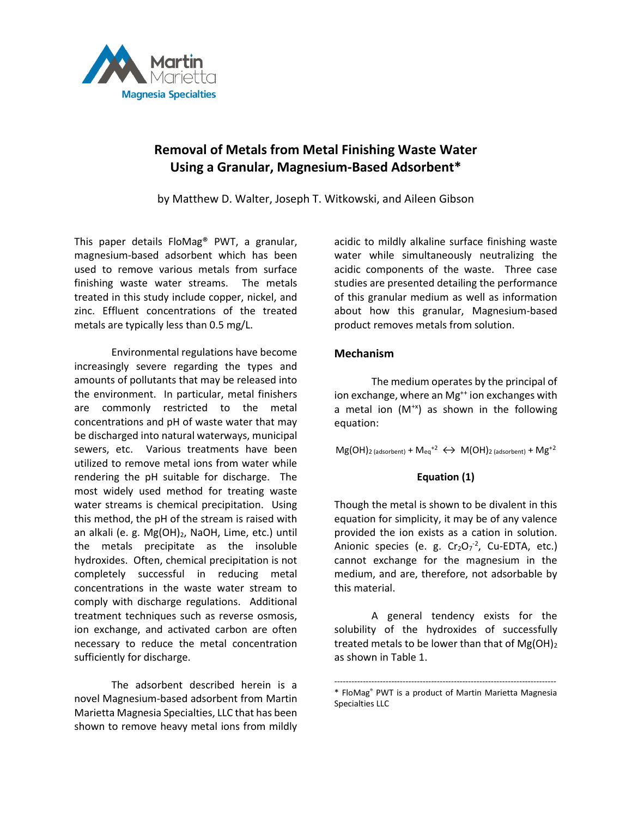

## **Removal of Metals from Metal Finishing Waste Water Using a Granular, Magnesium-Based Adsorbent\***

by Matthew D. Walter, Joseph T. Witkowski, and Aileen Gibson

This paper details FloMag® PWT, a granular, magnesium-based adsorbent which has been used to remove various metals from surface finishing waste water streams. The metals treated in this study include copper, nickel, and zinc. Effluent concentrations of the treated metals are typically less than 0.5 mg/L.

Environmental regulations have become increasingly severe regarding the types and amounts of pollutants that may be released into the environment. In particular, metal finishers are commonly restricted to the metal concentrations and pH of waste water that may be discharged into natural waterways, municipal sewers, etc. Various treatments have been utilized to remove metal ions from water while rendering the pH suitable for discharge. The most widely used method for treating waste water streams is chemical precipitation. Using this method, the pH of the stream is raised with an alkali (e. g. Mg(OH)<sub>2</sub>, NaOH, Lime, etc.) until the metals precipitate as the insoluble hydroxides. Often, chemical precipitation is not completely successful in reducing metal concentrations in the waste water stream to comply with discharge regulations. Additional treatment techniques such as reverse osmosis, ion exchange, and activated carbon are often necessary to reduce the metal concentration sufficiently for discharge.

The adsorbent described herein is a novel Magnesium-based adsorbent from Martin Marietta Magnesia Specialties, LLC that has been shown to remove heavy metal ions from mildly

acidic to mildly alkaline surface finishing waste water while simultaneously neutralizing the acidic components of the waste. Three case studies are presented detailing the performance of this granular medium as well as information about how this granular, Magnesium-based product removes metals from solution.

## **Mechanism**

The medium operates by the principal of ion exchange, where an Mg<sup>++</sup> ion exchanges with a metal ion  $(M^{+x})$  as shown in the following equation:

## $Mg(OH)<sub>2</sub>$  (adsorbent) +  $M_{eq}^{+2} \leftrightarrow M(OH)<sub>2</sub>$  (adsorbent) +  $Mg^{+2}$

## **Equation (1)**

Though the metal is shown to be divalent in this equation for simplicity, it may be of any valence provided the ion exists as a cation in solution. Anionic species (e. g.  $Cr_2O_7^{-2}$ , Cu-EDTA, etc.) cannot exchange for the magnesium in the medium, and are, therefore, not adsorbable by this material.

A general tendency exists for the solubility of the hydroxides of successfully treated metals to be lower than that of  $Mg(OH)_2$ as shown in Table 1.

<sup>------------------------------------------------------------------------------</sup> \* FloMag® PWT is a product of Martin Marietta Magnesia Specialties LLC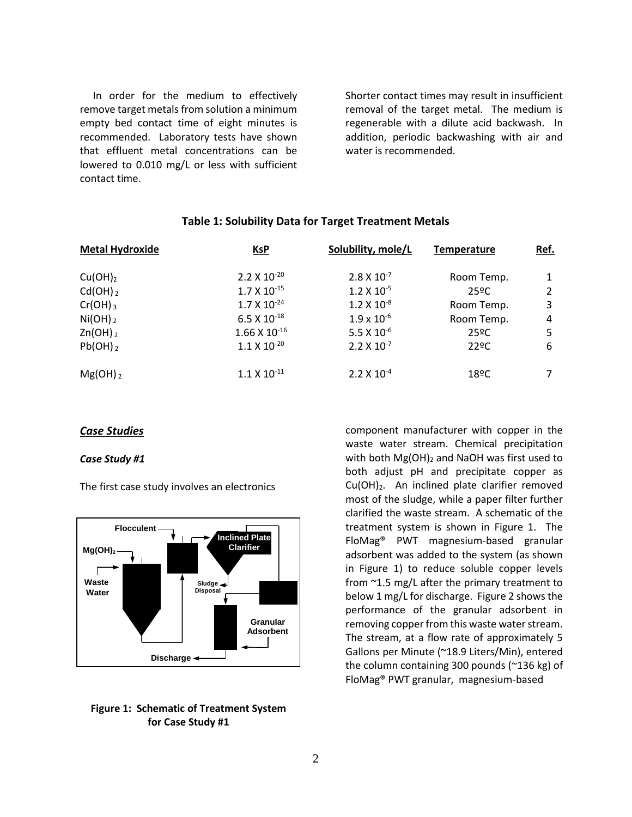In order for the medium to effectively remove target metals from solution a minimum empty bed contact time of eight minutes is recommended. Laboratory tests have shown that effluent metal concentrations can be lowered to 0.010 mg/L or less with sufficient contact time.

Shorter contact times may result in insufficient removal of the target metal. The medium is regenerable with a dilute acid backwash. In addition, periodic backwashing with air and water is recommended.

# **Metal Hydroxide KsP Solubility, mole/L Temperature Ref.** Cu(OH)<sub>2</sub> 2.2 X 10<sup>-20</sup> 2.8 X 10<sup>-7</sup> Room Temp. 1 Cd(OH) <sub>2</sub> 1.7 X 10<sup>-15</sup> 1.2 X 10<sup>-5</sup> 25ºC 2  $Cr(OH)_3$  1.7 X  $10^{-24}$  1.2 X  $10^{-8}$  Room Temp. 3  $N(OH)_2$  6.5 X  $10^{-18}$  1.9 x  $10^{-6}$  Room Temp. 4  $\text{Zn(OH)}_{2}$  25ºC 5  $Pb(OH)_2$  1.1 X 10<sup>-20</sup> 2.2 X 10<sup>-7</sup> 22ºC 6  $Mg(OH)_2$  and  $1.1 \times 10^{-11}$  and  $2.2 \times 10^{-4}$  and  $18^{\circ}$ C and  $7$

## **Table 1: Solubility Data for Target Treatment Metals**

## *Case Studies*

### *Case Study #1*

The first case study involves an electronics



## **Figure 1: Schematic of Treatment System for Case Study #1**

component manufacturer with copper in the waste water stream. Chemical precipitation with both  $Mg(OH)_2$  and NaOH was first used to both adjust pH and precipitate copper as  $Cu(OH)<sub>2</sub>$ . An inclined plate clarifier removed most of the sludge, while a paper filter further clarified the waste stream. A schematic of the treatment system is shown in Figure 1. The FloMag® PWT magnesium-based granular adsorbent was added to the system (as shown in Figure 1) to reduce soluble copper levels from ~1.5 mg/L after the primary treatment to below 1 mg/L for discharge. Figure 2 shows the performance of the granular adsorbent in removing copper from this waste water stream. The stream, at a flow rate of approximately 5 Gallons per Minute (~18.9 Liters/Min), entered the column containing 300 pounds (~136 kg) of FloMag® PWT granular, magnesium-based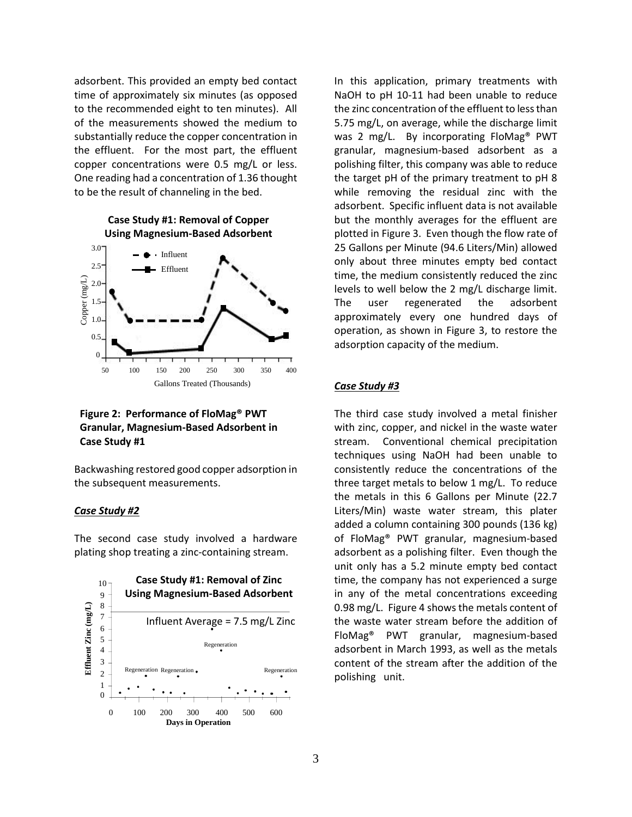adsorbent. This provided an empty bed contact time of approximately six minutes (as opposed to the recommended eight to ten minutes). All of the measurements showed the medium to substantially reduce the copper concentration in the effluent. For the most part, the effluent copper concentrations were 0.5 mg/L or less. One reading had a concentration of 1.36 thought to be the result of channeling in the bed.



## **Figure 2: Performance of FloMag® PWT Granular, Magnesium-Based Adsorbent in Case Study #1**

Backwashing restored good copper adsorption in the subsequent measurements.

#### *Case Study #2*

The second case study involved a hardware plating shop treating a zinc-containing stream.



In this application, primary treatments with NaOH to pH 10-11 had been unable to reduce the zinc concentration of the effluent to less than 5.75 mg/L, on average, while the discharge limit was 2 mg/L. By incorporating FloMag® PWT granular, magnesium-based adsorbent as a polishing filter, this company was able to reduce the target pH of the primary treatment to pH 8 while removing the residual zinc with the adsorbent. Specific influent data is not available but the monthly averages for the effluent are plotted in Figure 3. Even though the flow rate of 25 Gallons per Minute (94.6 Liters/Min) allowed only about three minutes empty bed contact time, the medium consistently reduced the zinc levels to well below the 2 mg/L discharge limit. The user regenerated the adsorbent approximately every one hundred days of operation, as shown in Figure 3, to restore the adsorption capacity of the medium.

#### *Case Study #3*

The third case study involved a metal finisher with zinc, copper, and nickel in the waste water stream. Conventional chemical precipitation techniques using NaOH had been unable to consistently reduce the concentrations of the three target metals to below 1 mg/L. To reduce the metals in this 6 Gallons per Minute (22.7 Liters/Min) waste water stream, this plater added a column containing 300 pounds (136 kg) of FloMag® PWT granular, magnesium-based adsorbent as a polishing filter. Even though the unit only has a 5.2 minute empty bed contact time, the company has not experienced a surge in any of the metal concentrations exceeding 0.98 mg/L. Figure 4 shows the metals content of the waste water stream before the addition of FloMag® PWT granular, magnesium-based adsorbent in March 1993, as well as the metals content of the stream after the addition of the polishing unit.